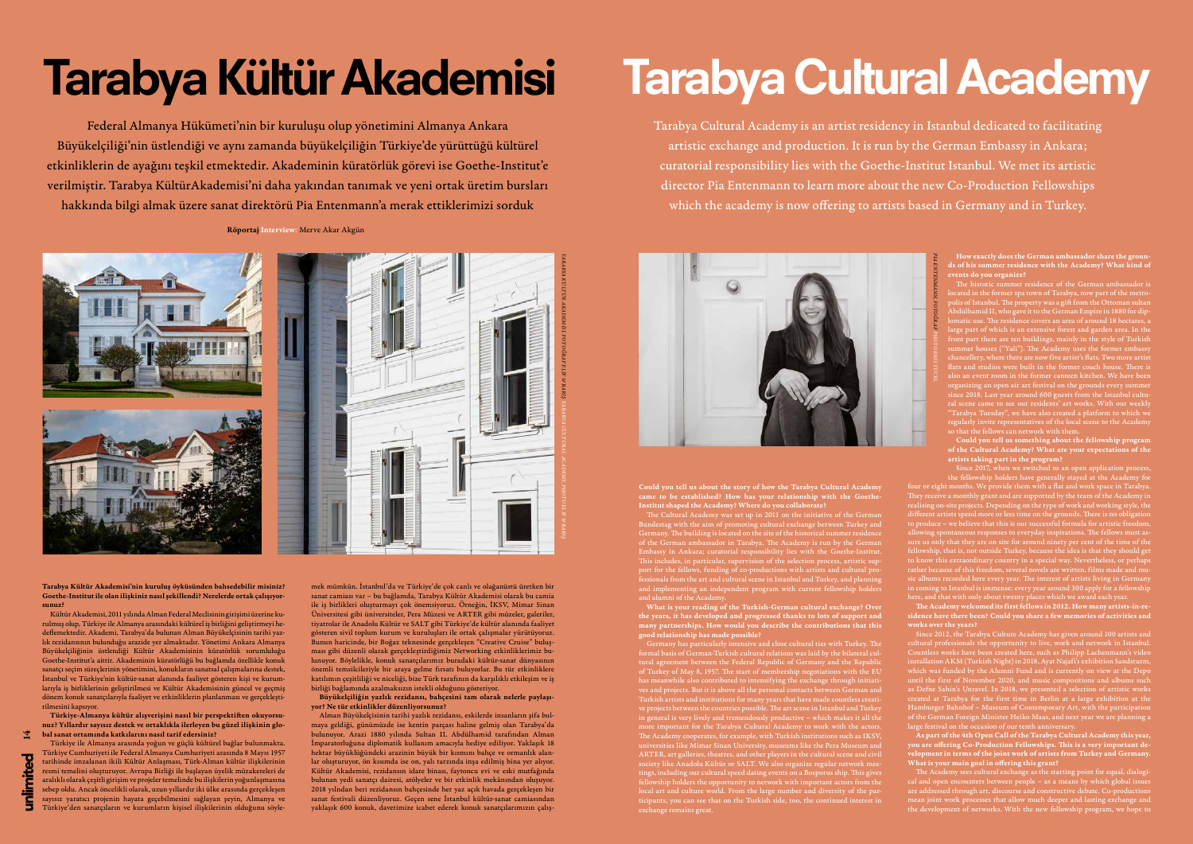14

How exactly does the German ambassador share the grounds of his summer residence with the Academy? What kind of events do you organize?

The historic summer residence of the German ambassador is located in the former spa town of Tarabya, now part of the metropolis of Istanbul. The property was a gift from the Ottoman sultan Abdülhamid II, who gave it to the German Empire in 1880 for diplomatic use. The residence covers an area of around 18 hectares, a large part of which is an extensive forest and garden area. In the front part there are ten buildings, mainly in the style of Turkish summer houses ("Yali"). The Academy uses the former embassy chancellery, where there are now five artist's flats. Two more artist flats and studios were built in the former coach house. There is also an event room in the former canteen kitchen. We have been organizing an open air art festival on the grounds every summer since 2018. Last year around 600 guests from the Istanbul cultural scene came to see our residents' art works. With our weekly "Tarabya Tuesday", we have also created a platform to which we regularly invite representatives of the local scene to the Academy so that the fellows can network with them.

Since 2017, when we switched to an open application process, the fellowship holders have generally stayed at the Academy for four or eight months. We provide them with a flat and work space in Tarabya. They receive a monthly grant and are supported by the team of the Academy in realising on-site projects. Depending on the type of work and working style, the different artists spend more or less time on the grounds. There is no obligation to produce – we believe that this is our successful formula for artistic freedom, allowing spontaneous responses to everyday inspirations. The fellows must assure us only that they are on site for around ninety per cent of the time of the fellowship, that is, not outside Turkey, because the idea is that they should get to know this extraordinary country in a special way. Nevertheless, or perhaps rather because of this freedom, several novels are written, films made and music albums recorded here every year. The interest of artists living in Germany in coming to Istanbul is immense: every year around 300 apply for a fellowship

Could you tell us something about the fellowship program of the Cultural Academy? What are your expectations of the artists taking part in the program?

here, and that with only about twenty places which we award each year. The Academy welcomed its first fellows in 2012. How many artists-in-residence have there been? Could you share a few memories of activities and works over the years?

Since 2012, the Tarabya Culture Academy has given around 100 artists and cultural professionals the opportunity to live, work and network in Istanbul. Countless works have been created here, such as Philipp Lachenmann's video installation AKM (Turkish Night) in 2018, Ayat Najafi's exhibition Sandsturm, which was funded by the Alumni Fund and is currently on view at the Depo until the first of November 2020, and music compositions and albums such as Defne Sahin's Unravel. In 2018, we presented a selection of artistic works created at Tarabya for the first time in Berlin at a large exhibition at the Hamburger Bahnhof – Museum of Contemporary Art, with the participation of the German Foreign Minister Heiko Maas, and next year we are planning a large festival on the occasion of our tenth anniversary.

As part of the 4th Open Call of the Tarabya Cultural Academy this year, you are offering Co-Production Fellowships. This is a very important development in terms of the joint work of artists from Turkey and Germany. What is your main goal in offering this grant?

The Academy sees cultural exchange as the starting point for equal, dialogical and open encounters between people – as a means by which global issues are addressed through art, discourse and constructive debate. Co-productions mean joint work processes that allow much deeper and lasting exchange and the development of networks. With the new fellowship program, we hope to

# Tarabya Kültür Akademisi Tarabya Cultural Academy

Tarabya Kültür Akademisi'nin kuruluş öyküsünden bahsedebilir misiniz? Goethe-Institut ile olan ilişkiniz nasıl şekillendi? Nerelerde ortak çalışıyorsunuz?

The Cultural Academy was set up in 2011 on the initiative of the German Bundestag with the aim of promoting cultural exchange between Turkey and Germany. The building is located on the site of the historical summer residence of the German ambassador in Tarabya. The Academy is run by the German Embassy in Ankara; curatorial responsibility lies with the Goethe-Institut. This includes, in particular, supervision of the selection process, artistic support for the fellows, funding of co-productions with artists and cultural professionals from the art and cultural scene in Istanbul and Turkey, and planning and implementing an independent program with current fellowship holders and alumni of the Academ

Kültür Akademisi, 2011 yılında Alman Federal Meclisinin girişimi üzerine kurulmuş olup, Türkiye ile Almanya arasındaki kültürel iş birliğini geliştirmeyi hedeflemektedir. Akademi, Tarabya'da bulunan Alman Büyükelçisinin tarihi yazlık rezidansının bulunduğu arazide yer almaktadır. Yönetimi Ankara Almanya Büyükelçiliğinin üstlendiği Kültür Akademisinin küratörlük sorumluluğu Goethe-Institut'a aittir. Akademinin küratörlüğü bu bağlamda özellikle konuk sanatçı seçim süreçlerinin yönetimini, konukların sanatsal çalışmalarına destek, İstanbul ve Türkiye'nin kültür-sanat alanında faaliyet gösteren kişi ve kurumlarıyla iş birliklerinin geliştirilmesi ve Kültür Akademisinin güncel ve geçmiş dönem konuk sanatçılarıyla faaliyet ve etkinliklerin planlanması ve gerçekleştirilmesini kapsıyor.

Türkiye-Almanya kültür alışverişini nasıl bir perspektiften okuyorsunuz? Yıllardır sayısız destek ve ortaklıkla ilerleyen bu güzel ilişkinin global sanat ortamında katkılarını nasıl tarif edersiniz?

Türkiye ile Almanya arasında yoğun ve güçlü kültürel bağlar bulunmakta. Türkiye Cumhuriyeti ile Federal Almanya Cumhuriyeti arasında 8 Mayıs 1957 tarihinde imzalanan ikili Kültür Anlaşması, Türk-Alman kültür ilişkilerinin resmi temelini oluşturuyor. Avrupa Birliği ile başlayan üyelik müzakereleri de aralıklı olarak çeşitli girişim ve projeler temelinde bu ilişkilerin yoğunlaşmasına sebep oldu. Ancak öncelikli olarak, uzun yıllardır iki ülke arasında gerçekleşen sayısız yaratıcı projenin hayata geçebilmesini sağlayan şeyin, Almanya ve Türkiye'den sanatçıların ve kurumların kişisel ilişkilerinin olduğunu söyle-

Federal Almanya Hükümeti'nin bir kuruluşu olup yönetimini Almanya Ankara Büyükelçiliği'nin üstlendiği ve aynı zamanda büyükelçiliğin Türkiye'de yürüttüğü kültürel etkinliklerin de ayağını teşkil etmektedir. Akademinin küratörlük görevi ise Goethe-Institut'e verilmiştir. Tarabya KültürAkademisi'ni daha yakından tanımak ve yeni ortak üretim bursları hakkında bilgi almak üzere sanat direktörü Pia Entenmann'a merak ettiklerimizi sorduk

Tarabya Cultural Academy is an artist residency in Istanbul dedicated to facilitating artistic exchange and production. It is run by the German Embassy in Ankara; curatorial responsibility lies with the Goethe-Institut Istanbul. We met its artistic director Pia Entenmann to learn more about the new Co-Production Fellowships which the academy is now offering to artists based in Germany and in Turkey.

Röportaj Interview: Merve Akar Akgün

mek mümkün. İstanbul'da ve Türkiye'de çok canlı ve olağanüstü üretken bir sanat camiası var – bu bağlamda, Tarabya Kültür Akademisi olarak bu camia ile iş birlikleri oluşturmayı çok önemsiyoruz. Örneğin, İKSV, Mimar Sinan Üniversitesi gibi üniversiteler, Pera Müzesi ve ARTER gibi müzeler, galeriler, tiyatrolar ile Anadolu Kültür ve SALT gibi Türkiye'de kültür alanında faaliyet gösteren sivil toplum kurum ve kuruluşları ile ortak çalışmalar yürütüyoruz. Bunun haricinde, bir Boğaz teknesinde gerçekleşen "Creative Cruise" buluşması gibi düzenli olarak gerçekleştirdiğimiz Networking etkinliklerimiz bulunuyor. Böylelikle, konuk sanatçılarımız buradaki kültür-sanat dünyasının önemli temsilcileriyle bir araya gelme fırsatı buluyorlar. Bu tür etkinliklere katılımın çeşitliliği ve niceliği, bize Türk tarafının da karşılıklı etkileşim ve iş birliği bağlamında azalmaksızın istekli olduğunu gösteriyor.

Büyükelçiliğin yazlık rezidansı, bahçesini tam olarak nelerle paylaşıyor? Ne tür etkinlikler düzenliyorsunuz?

Alman Büyükelçisinin tarihi yazlık rezidansı, eskilerde insanların şifa bulmaya geldiği, günümüzde ise kentin parçası haline gelmiş olan Tarabya'da bulunuyor. Arazi 1880 yılında Sultan II. Abdülhamid tarafından Alman İmparatorluğuna diplomatik kullanım amacıyla hediye ediliyor. Yaklaşık 18 hektar büyüklüğündeki arazinin büyük bir kısmını bahçe ve ormanlık alanlar oluşturuyor, ön kısımda ise on, yalı tarzında inşa edilmiş bina yer alıyor. Kültür Akademisi, rezidansın idare binası, faytoncu evi ve eski mutfağında bulunan yedi sanatçı dairesi, atölyeler ve bir etkinlik mekânından oluşuyor. 2018 yılndan beri rezidansın bahçesinde her yaz açık havada gerçekleşen bir sanat festivali düzenliyoruz. Geçen sene İstanbul kültür-sanat camiasından yaklaşık 600 konuk, davetimize icabet ederek konuk sanatçılarımızın çalışCould you tell us about the story of how the Tarabya Cultural Academy came to be established? How has your relationship with the Goethe-Institut shaped the Academy? Where do you collaborate?

What is your reading of the Turkish-German cultural exchange? Over the years, it has developed and progressed thanks to lots of support and many partnerships. How would you describe the contributions that this good relationship has made possible?

Germany has particularly intensive and close cultural ties with Turkey. The formal basis of German-Turkish cultural relations was laid by the bilateral cultural agreement between the Federal Republic of Germany and the Republic of Turkey of May 8, 1957. The start of membership negotiations with the EU has meanwhile also contributed to intensifying the exchange through initiatives and projects. But it is above all the personal contacts between German and Turkish artists and institutions for many years that have made countless creative projects between the countries possible. The art scene in Istanbul and Turkey in general is very lively and tremendously productive – which makes it all the more important for the Tarabya Cultural Academy to work with the actors. The Academy cooperates, for example, with Turkish institutions such as IKSV, universities like Mimar Sinan University, museums like the Pera Museum and ARTER, art galleries, theatres, and other players in the cultural scene and civil society like Anadolu Kültür or SALT. We also organize regular network meetings, including our cultural speed dating events on a Bosporus ship. This gives fellowship holders the opportunity to network with important actors from the local art and culture world. From the large number and diversity of the participants, you can see that on the Turkish side, too, the continued interest in exchange remains great.